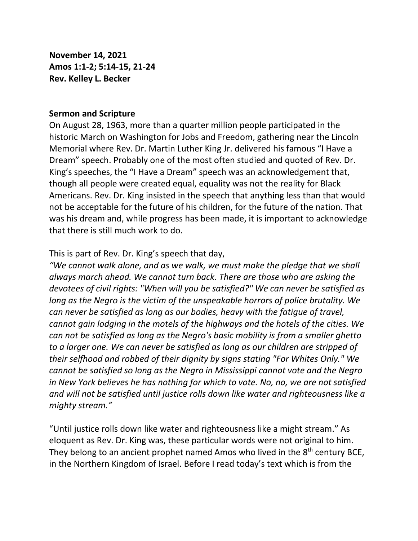**November 14, 2021 Amos 1:1-2; 5:14-15, 21-24 Rev. Kelley L. Becker**

## **Sermon and Scripture**

On August 28, 1963, more than a quarter million people participated in the historic March on Washington for Jobs and Freedom, gathering near the Lincoln Memorial where Rev. Dr. Martin Luther King Jr. delivered his famous "I Have a Dream" speech. Probably one of the most often studied and quoted of Rev. Dr. King's speeches, the "I Have a Dream" speech was an acknowledgement that, though all people were created equal, equality was not the reality for Black Americans. Rev. Dr. King insisted in the speech that anything less than that would not be acceptable for the future of his children, for the future of the nation. That was his dream and, while progress has been made, it is important to acknowledge that there is still much work to do.

This is part of Rev. Dr. King's speech that day,

*"We cannot walk alone, and as we walk, we must make the pledge that we shall always march ahead. We cannot turn back. There are those who are asking the devotees of civil rights: "When will you be satisfied?" We can never be satisfied as long as the Negro is the victim of the unspeakable horrors of police brutality. We can never be satisfied as long as our bodies, heavy with the fatigue of travel, cannot gain lodging in the motels of the highways and the hotels of the cities. We can not be satisfied as long as the Negro's basic mobility is from a smaller ghetto to a larger one. We can never be satisfied as long as our children are stripped of their selfhood and robbed of their dignity by signs stating "For Whites Only." We cannot be satisfied so long as the Negro in Mississippi cannot vote and the Negro in New York believes he has nothing for which to vote. No, no, we are not satisfied and will not be satisfied until justice rolls down like water and righteousness like a mighty stream."*

"Until justice rolls down like water and righteousness like a might stream." As eloquent as Rev. Dr. King was, these particular words were not original to him. They belong to an ancient prophet named Amos who lived in the  $8<sup>th</sup>$  century BCE, in the Northern Kingdom of Israel. Before I read today's text which is from the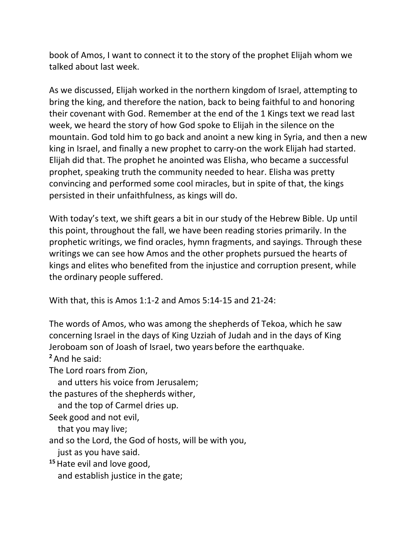book of Amos, I want to connect it to the story of the prophet Elijah whom we talked about last week.

As we discussed, Elijah worked in the northern kingdom of Israel, attempting to bring the king, and therefore the nation, back to being faithful to and honoring their covenant with God. Remember at the end of the 1 Kings text we read last week, we heard the story of how God spoke to Elijah in the silence on the mountain. God told him to go back and anoint a new king in Syria, and then a new king in Israel, and finally a new prophet to carry-on the work Elijah had started. Elijah did that. The prophet he anointed was Elisha, who became a successful prophet, speaking truth the community needed to hear. Elisha was pretty convincing and performed some cool miracles, but in spite of that, the kings persisted in their unfaithfulness, as kings will do.

With today's text, we shift gears a bit in our study of the Hebrew Bible. Up until this point, throughout the fall, we have been reading stories primarily. In the prophetic writings, we find oracles, hymn fragments, and sayings. Through these writings we can see how Amos and the other prophets pursued the hearts of kings and elites who benefited from the injustice and corruption present, while the ordinary people suffered.

With that, this is Amos 1:1-2 and Amos 5:14-15 and 21-24:

The words of Amos, who was among the shepherds of Tekoa, which he saw concerning Israel in the days of King Uzziah of Judah and in the days of King Jeroboam son of Joash of Israel, two years before the earthquake. **<sup>2</sup>** And he said:

The Lord roars from Zion,

and utters his voice from Jerusalem;

the pastures of the shepherds wither,

and the top of Carmel dries up.

Seek good and not evil,

that you may live;

and so the Lord, the God of hosts, will be with you,

just as you have said.

**<sup>15</sup>**Hate evil and love good, and establish justice in the gate;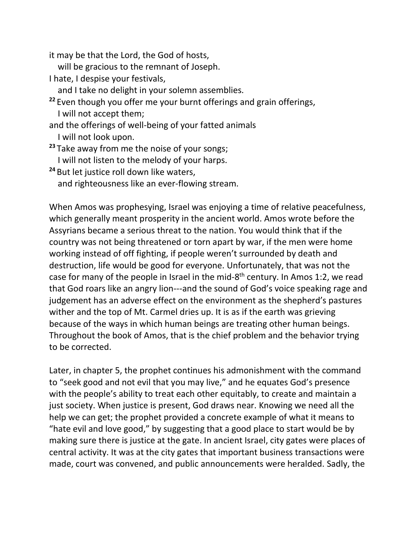it may be that the Lord, the God of hosts,

- will be gracious to the remnant of Joseph.
- I hate, I despise your festivals,
- and I take no delight in your solemn assemblies.
- **<sup>22</sup>** Even though you offer me your burnt offerings and grain offerings, I will not accept them;
- and the offerings of well-being of your fatted animals I will not look upon.
- **<sup>23</sup>** Take away from me the noise of your songs;
	- I will not listen to the melody of your harps.
- **<sup>24</sup>** But let justice roll down like waters,
	- and righteousness like an ever-flowing stream.

When Amos was prophesying, Israel was enjoying a time of relative peacefulness, which generally meant prosperity in the ancient world. Amos wrote before the Assyrians became a serious threat to the nation. You would think that if the country was not being threatened or torn apart by war, if the men were home working instead of off fighting, if people weren't surrounded by death and destruction, life would be good for everyone. Unfortunately, that was not the case for many of the people in Israel in the mid-8<sup>th</sup> century. In Amos 1:2, we read that God roars like an angry lion---and the sound of God's voice speaking rage and judgement has an adverse effect on the environment as the shepherd's pastures wither and the top of Mt. Carmel dries up. It is as if the earth was grieving because of the ways in which human beings are treating other human beings. Throughout the book of Amos, that is the chief problem and the behavior trying to be corrected.

Later, in chapter 5, the prophet continues his admonishment with the command to "seek good and not evil that you may live," and he equates God's presence with the people's ability to treat each other equitably, to create and maintain a just society. When justice is present, God draws near. Knowing we need all the help we can get; the prophet provided a concrete example of what it means to "hate evil and love good," by suggesting that a good place to start would be by making sure there is justice at the gate. In ancient Israel, city gates were places of central activity. It was at the city gates that important business transactions were made, court was convened, and public announcements were heralded. Sadly, the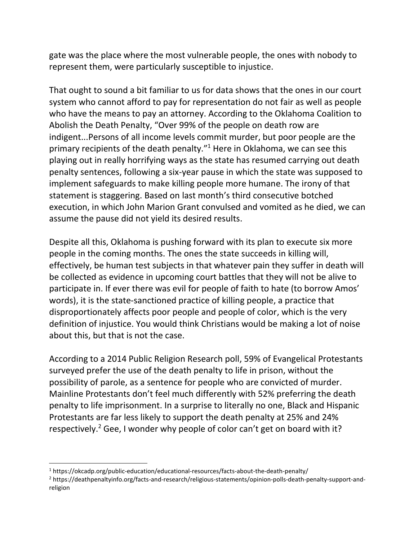gate was the place where the most vulnerable people, the ones with nobody to represent them, were particularly susceptible to injustice.

That ought to sound a bit familiar to us for data shows that the ones in our court system who cannot afford to pay for representation do not fair as well as people who have the means to pay an attorney. According to the Oklahoma Coalition to Abolish the Death Penalty, "Over 99% of the people on death row are indigent...Persons of all income levels commit murder, but poor people are the primary recipients of the death penalty."<sup>1</sup> Here in Oklahoma, we can see this playing out in really horrifying ways as the state has resumed carrying out death penalty sentences, following a six-year pause in which the state was supposed to implement safeguards to make killing people more humane. The irony of that statement is staggering. Based on last month's third consecutive botched execution, in which John Marion Grant convulsed and vomited as he died, we can assume the pause did not yield its desired results.

Despite all this, Oklahoma is pushing forward with its plan to execute six more people in the coming months. The ones the state succeeds in killing will, effectively, be human test subjects in that whatever pain they suffer in death will be collected as evidence in upcoming court battles that they will not be alive to participate in. If ever there was evil for people of faith to hate (to borrow Amos' words), it is the state-sanctioned practice of killing people, a practice that disproportionately affects poor people and people of color, which is the very definition of injustice. You would think Christians would be making a lot of noise about this, but that is not the case.

According to a 2014 Public Religion Research poll, 59% of Evangelical Protestants surveyed prefer the use of the death penalty to life in prison, without the possibility of parole, as a sentence for people who are convicted of murder. Mainline Protestants don't feel much differently with 52% preferring the death penalty to life imprisonment. In a surprise to literally no one, Black and Hispanic Protestants are far less likely to support the death penalty at 25% and 24% respectively.<sup>2</sup> Gee, I wonder why people of color can't get on board with it?

<sup>1</sup> https://okcadp.org/public-education/educational-resources/facts-about-the-death-penalty/

<sup>2</sup> https://deathpenaltyinfo.org/facts-and-research/religious-statements/opinion-polls-death-penalty-support-andreligion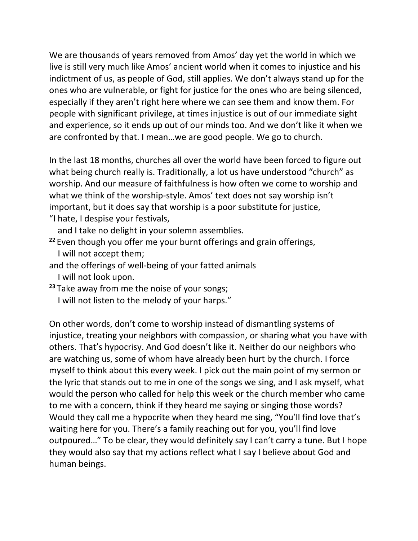We are thousands of years removed from Amos' day yet the world in which we live is still very much like Amos' ancient world when it comes to injustice and his indictment of us, as people of God, still applies. We don't always stand up for the ones who are vulnerable, or fight for justice for the ones who are being silenced, especially if they aren't right here where we can see them and know them. For people with significant privilege, at times injustice is out of our immediate sight and experience, so it ends up out of our minds too. And we don't like it when we are confronted by that. I mean…we are good people. We go to church.

In the last 18 months, churches all over the world have been forced to figure out what being church really is. Traditionally, a lot us have understood "church" as worship. And our measure of faithfulness is how often we come to worship and what we think of the worship-style. Amos' text does not say worship isn't important, but it does say that worship is a poor substitute for justice,

"I hate, I despise your festivals,

and I take no delight in your solemn assemblies.

- **<sup>22</sup>** Even though you offer me your burnt offerings and grain offerings, I will not accept them;
- and the offerings of well-being of your fatted animals
	- I will not look upon.
- **<sup>23</sup>** Take away from me the noise of your songs;
	- I will not listen to the melody of your harps."

On other words, don't come to worship instead of dismantling systems of injustice, treating your neighbors with compassion, or sharing what you have with others. That's hypocrisy. And God doesn't like it. Neither do our neighbors who are watching us, some of whom have already been hurt by the church. I force myself to think about this every week. I pick out the main point of my sermon or the lyric that stands out to me in one of the songs we sing, and I ask myself, what would the person who called for help this week or the church member who came to me with a concern, think if they heard me saying or singing those words? Would they call me a hypocrite when they heard me sing, "You'll find love that's waiting here for you. There's a family reaching out for you, you'll find love outpoured…" To be clear, they would definitely say I can't carry a tune. But I hope they would also say that my actions reflect what I say I believe about God and human beings.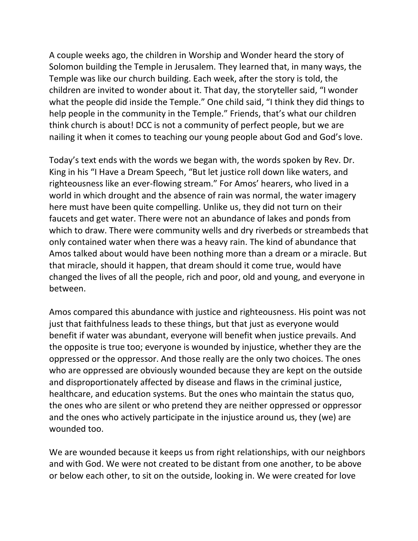A couple weeks ago, the children in Worship and Wonder heard the story of Solomon building the Temple in Jerusalem. They learned that, in many ways, the Temple was like our church building. Each week, after the story is told, the children are invited to wonder about it. That day, the storyteller said, "I wonder what the people did inside the Temple." One child said, "I think they did things to help people in the community in the Temple." Friends, that's what our children think church is about! DCC is not a community of perfect people, but we are nailing it when it comes to teaching our young people about God and God's love.

Today's text ends with the words we began with, the words spoken by Rev. Dr. King in his "I Have a Dream Speech, "But let justice roll down like waters, and righteousness like an ever-flowing stream." For Amos' hearers, who lived in a world in which drought and the absence of rain was normal, the water imagery here must have been quite compelling. Unlike us, they did not turn on their faucets and get water. There were not an abundance of lakes and ponds from which to draw. There were community wells and dry riverbeds or streambeds that only contained water when there was a heavy rain. The kind of abundance that Amos talked about would have been nothing more than a dream or a miracle. But that miracle, should it happen, that dream should it come true, would have changed the lives of all the people, rich and poor, old and young, and everyone in between.

Amos compared this abundance with justice and righteousness. His point was not just that faithfulness leads to these things, but that just as everyone would benefit if water was abundant, everyone will benefit when justice prevails. And the opposite is true too; everyone is wounded by injustice, whether they are the oppressed or the oppressor. And those really are the only two choices. The ones who are oppressed are obviously wounded because they are kept on the outside and disproportionately affected by disease and flaws in the criminal justice, healthcare, and education systems. But the ones who maintain the status quo, the ones who are silent or who pretend they are neither oppressed or oppressor and the ones who actively participate in the injustice around us, they (we) are wounded too.

We are wounded because it keeps us from right relationships, with our neighbors and with God. We were not created to be distant from one another, to be above or below each other, to sit on the outside, looking in. We were created for love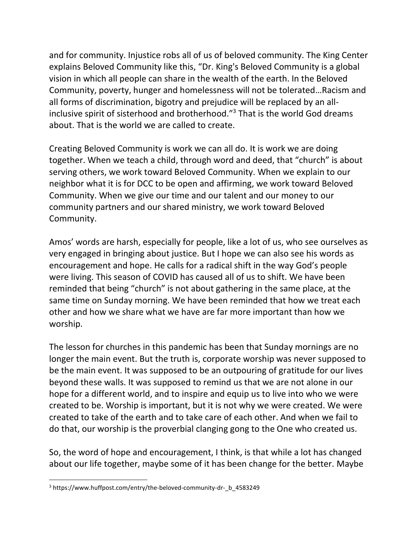and for community. Injustice robs all of us of beloved community. The King Center explains Beloved Community like this, "Dr. King's Beloved Community is a global vision in which all people can share in the wealth of the earth. In the Beloved Community, poverty, hunger and homelessness will not be tolerated…Racism and all forms of discrimination, bigotry and prejudice will be replaced by an allinclusive spirit of sisterhood and brotherhood."<sup>3</sup> That is the world God dreams about. That is the world we are called to create.

Creating Beloved Community is work we can all do. It is work we are doing together. When we teach a child, through word and deed, that "church" is about serving others, we work toward Beloved Community. When we explain to our neighbor what it is for DCC to be open and affirming, we work toward Beloved Community. When we give our time and our talent and our money to our community partners and our shared ministry, we work toward Beloved Community.

Amos' words are harsh, especially for people, like a lot of us, who see ourselves as very engaged in bringing about justice. But I hope we can also see his words as encouragement and hope. He calls for a radical shift in the way God's people were living. This season of COVID has caused all of us to shift. We have been reminded that being "church" is not about gathering in the same place, at the same time on Sunday morning. We have been reminded that how we treat each other and how we share what we have are far more important than how we worship.

The lesson for churches in this pandemic has been that Sunday mornings are no longer the main event. But the truth is, corporate worship was never supposed to be the main event. It was supposed to be an outpouring of gratitude for our lives beyond these walls. It was supposed to remind us that we are not alone in our hope for a different world, and to inspire and equip us to live into who we were created to be. Worship is important, but it is not why we were created. We were created to take of the earth and to take care of each other. And when we fail to do that, our worship is the proverbial clanging gong to the One who created us.

So, the word of hope and encouragement, I think, is that while a lot has changed about our life together, maybe some of it has been change for the better. Maybe

<sup>3</sup> https://www.huffpost.com/entry/the-beloved-community-dr-\_b\_4583249